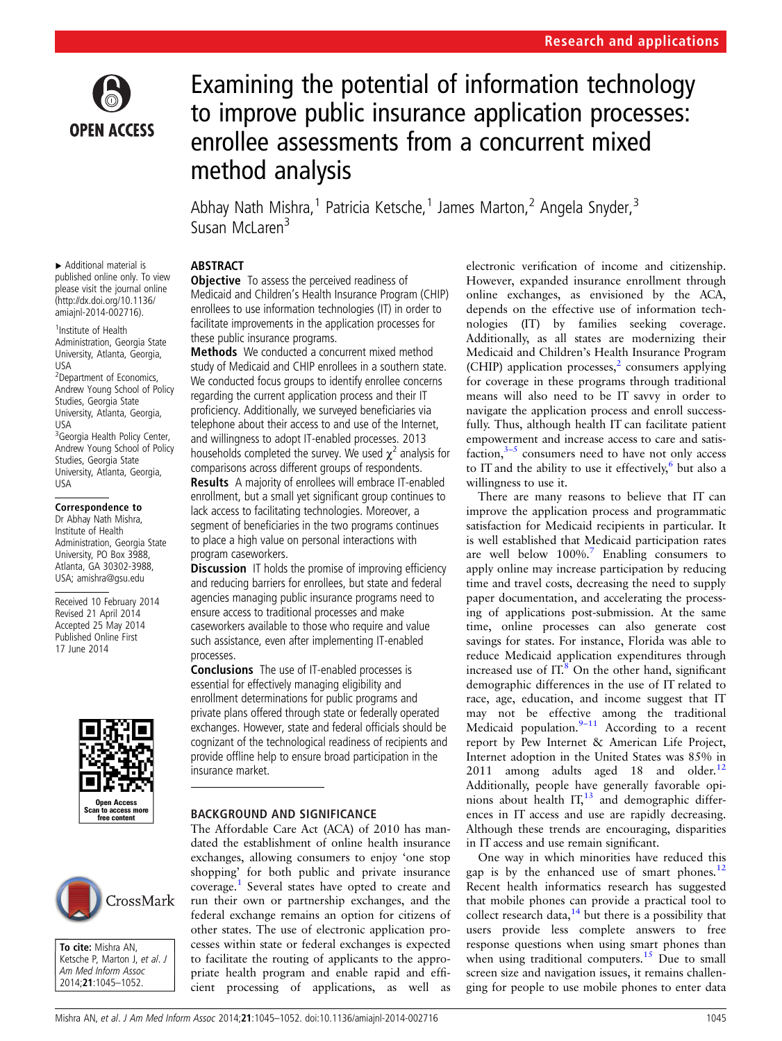

# Examining the potential of information technology to improve public insurance application processes: enrollee assessments from a concurrent mixed method analysis

Abhay Nath Mishra,<sup>1</sup> Patricia Ketsche,<sup>1</sup> James Marton,<sup>2</sup> Angela Snyder,<sup>3</sup> Susan McLaren<sup>3</sup>

## **ABSTRACT**

**Objective** To assess the perceived readiness of Medicaid and Children's Health Insurance Program (CHIP) enrollees to use information technologies (IT) in order to facilitate improvements in the application processes for these public insurance programs.

Methods We conducted a concurrent mixed method study of Medicaid and CHIP enrollees in a southern state. We conducted focus groups to identify enrollee concerns regarding the current application process and their IT proficiency. Additionally, we surveyed beneficiaries via telephone about their access to and use of the Internet, and willingness to adopt IT-enabled processes. 2013 households completed the survey. We used  $\chi^2$  analysis for comparisons across different groups of respondents.

Results A majority of enrollees will embrace IT-enabled enrollment, but a small yet significant group continues to lack access to facilitating technologies. Moreover, a segment of beneficiaries in the two programs continues to place a high value on personal interactions with program caseworkers.

**Discussion** IT holds the promise of improving efficiency and reducing barriers for enrollees, but state and federal agencies managing public insurance programs need to ensure access to traditional processes and make caseworkers available to those who require and value such assistance, even after implementing IT-enabled processes.

Conclusions The use of IT-enabled processes is essential for effectively managing eligibility and enrollment determinations for public programs and private plans offered through state or federally operated exchanges. However, state and federal officials should be cognizant of the technological readiness of recipients and provide offline help to ensure broad participation in the insurance market.

## BACKGROUND AND SIGNIFICANCE

The Affordable Care Act (ACA) of 2010 has mandated the establishment of online health insurance exchanges, allowing consumers to enjoy 'one stop shopping' for both public and private insurance coverage.[1](#page-6-0) Several states have opted to create and run their own or partnership exchanges, and the federal exchange remains an option for citizens of other states. The use of electronic application processes within state or federal exchanges is expected to facilitate the routing of applicants to the appropriate health program and enable rapid and efficient processing of applications, as well as electronic verification of income and citizenship. However, expanded insurance enrollment through online exchanges, as envisioned by the ACA, depends on the effective use of information technologies (IT) by families seeking coverage. Additionally, as all states are modernizing their Medicaid and Children's Health Insurance Program (CHIP) application processes, $<sup>2</sup>$  $<sup>2</sup>$  $<sup>2</sup>$  consumers applying</sup> for coverage in these programs through traditional means will also need to be IT savvy in order to navigate the application process and enroll successfully. Thus, although health IT can facilitate patient empowerment and increase access to care and satisfaction, $3-5$  $3-5$  consumers need to have not only access to IT and the ability to use it effectively, $6$  but also a willingness to use it.

There are many reasons to believe that IT can improve the application process and programmatic satisfaction for Medicaid recipients in particular. It is well established that Medicaid participation rates are well below  $100\%$ .<sup>[7](#page-7-0)</sup> Enabling consumers to apply online may increase participation by reducing time and travel costs, decreasing the need to supply paper documentation, and accelerating the processing of applications post-submission. At the same time, online processes can also generate cost savings for states. For instance, Florida was able to reduce Medicaid application expenditures through increased use of  $IT<sup>8</sup>$  $IT<sup>8</sup>$  $IT<sup>8</sup>$  On the other hand, significant demographic differences in the use of IT related to race, age, education, and income suggest that IT may not be effective among the traditional Medicaid population. $9-11$  $9-11$  According to a recent report by Pew Internet & American Life Project, Internet adoption in the United States was 85% in 2011 among adults aged 18 and older.<sup>[12](#page-7-0)</sup> Additionally, people have generally favorable opinions about health  $IT<sub>13</sub>$  $IT<sub>13</sub>$  $IT<sub>13</sub>$  and demographic differences in IT access and use are rapidly decreasing. Although these trends are encouraging, disparities in IT access and use remain significant.

One way in which minorities have reduced this gap is by the enhanced use of smart phones. $^{12}$  $^{12}$  $^{12}$ Recent health informatics research has suggested that mobile phones can provide a practical tool to collect research data, $14$  but there is a possibility that users provide less complete answers to free response questions when using smart phones than when using traditional computers.<sup>[15](#page-7-0)</sup> Due to small screen size and navigation issues, it remains challenging for people to use mobile phones to enter data

▸ Additional material is published online only. To view please visit the journal online [\(http://dx.doi.org/10.1136/](http://dx.doi.org/10.1136/amiajnl-2014-002716) [amiajnl-2014-002716\)](http://dx.doi.org/10.1136/amiajnl-2014-002716).

1 Institute of Health Administration, Georgia State University, Atlanta, Georgia, USA

2 Department of Economics, Andrew Young School of Policy Studies, Georgia State University, Atlanta, Georgia, USA <sup>3</sup> Georgia Health Policy Center,

Andrew Young School of Policy Studies, Georgia State University, Atlanta, Georgia, USA

## Correspondence to

Dr Abhay Nath Mishra, Institute of Health Administration, Georgia State University, PO Box 3988, Atlanta, GA 30302-3988, USA; amishra@gsu.edu

Received 10 February 2014 Revised 21 April 2014 Accepted 25 May 2014 Published Online First 17 June 2014



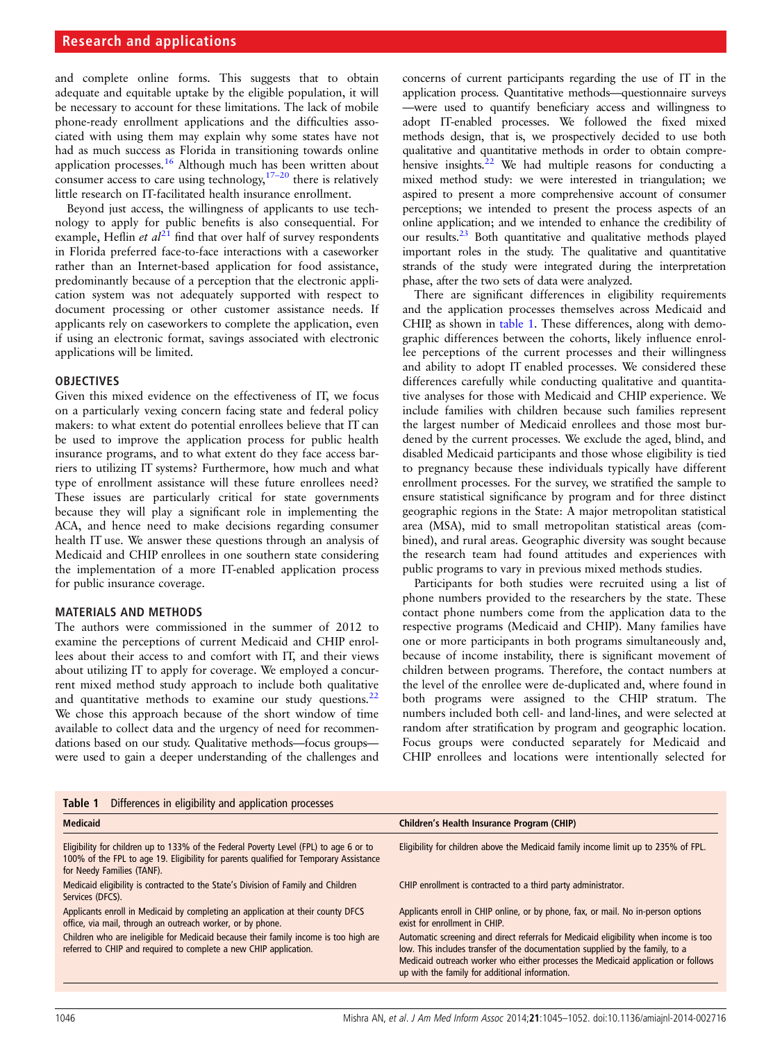and complete online forms. This suggests that to obtain adequate and equitable uptake by the eligible population, it will be necessary to account for these limitations. The lack of mobile phone-ready enrollment applications and the difficulties associated with using them may explain why some states have not had as much success as Florida in transitioning towards online application processes.<sup>[16](#page-7-0)</sup> Although much has been written about consumer access to care using technology,[17](#page-7-0)–<sup>20</sup> there is relatively little research on IT-facilitated health insurance enrollment.

Beyond just access, the willingness of applicants to use technology to apply for public benefits is also consequential. For example, Heflin et  $al^{21}$  $al^{21}$  $al^{21}$  find that over half of survey respondents in Florida preferred face-to-face interactions with a caseworker rather than an Internet-based application for food assistance, predominantly because of a perception that the electronic application system was not adequately supported with respect to document processing or other customer assistance needs. If applicants rely on caseworkers to complete the application, even if using an electronic format, savings associated with electronic applications will be limited.

#### OBJECTIVES

Given this mixed evidence on the effectiveness of IT, we focus on a particularly vexing concern facing state and federal policy makers: to what extent do potential enrollees believe that IT can be used to improve the application process for public health insurance programs, and to what extent do they face access barriers to utilizing IT systems? Furthermore, how much and what type of enrollment assistance will these future enrollees need? These issues are particularly critical for state governments because they will play a significant role in implementing the ACA, and hence need to make decisions regarding consumer health IT use. We answer these questions through an analysis of Medicaid and CHIP enrollees in one southern state considering the implementation of a more IT-enabled application process for public insurance coverage.

#### MATERIALS AND METHODS

The authors were commissioned in the summer of 2012 to examine the perceptions of current Medicaid and CHIP enrollees about their access to and comfort with IT, and their views about utilizing IT to apply for coverage. We employed a concurrent mixed method study approach to include both qualitative and quantitative methods to examine our study questions. $22$ We chose this approach because of the short window of time available to collect data and the urgency of need for recommendations based on our study. Qualitative methods—focus groups were used to gain a deeper understanding of the challenges and concerns of current participants regarding the use of IT in the application process. Quantitative methods—questionnaire surveys —were used to quantify beneficiary access and willingness to adopt IT-enabled processes. We followed the fixed mixed methods design, that is, we prospectively decided to use both qualitative and quantitative methods in order to obtain comprehensive insights. $22$  We had multiple reasons for conducting a mixed method study: we were interested in triangulation; we aspired to present a more comprehensive account of consumer perceptions; we intended to present the process aspects of an online application; and we intended to enhance the credibility of our results[.23](#page-7-0) Both quantitative and qualitative methods played important roles in the study. The qualitative and quantitative strands of the study were integrated during the interpretation phase, after the two sets of data were analyzed.

There are significant differences in eligibility requirements and the application processes themselves across Medicaid and CHIP, as shown in table 1. These differences, along with demographic differences between the cohorts, likely influence enrollee perceptions of the current processes and their willingness and ability to adopt IT enabled processes. We considered these differences carefully while conducting qualitative and quantitative analyses for those with Medicaid and CHIP experience. We include families with children because such families represent the largest number of Medicaid enrollees and those most burdened by the current processes. We exclude the aged, blind, and disabled Medicaid participants and those whose eligibility is tied to pregnancy because these individuals typically have different enrollment processes. For the survey, we stratified the sample to ensure statistical significance by program and for three distinct geographic regions in the State: A major metropolitan statistical area (MSA), mid to small metropolitan statistical areas (combined), and rural areas. Geographic diversity was sought because the research team had found attitudes and experiences with public programs to vary in previous mixed methods studies.

Participants for both studies were recruited using a list of phone numbers provided to the researchers by the state. These contact phone numbers come from the application data to the respective programs (Medicaid and CHIP). Many families have one or more participants in both programs simultaneously and, because of income instability, there is significant movement of children between programs. Therefore, the contact numbers at the level of the enrollee were de-duplicated and, where found in both programs were assigned to the CHIP stratum. The numbers included both cell- and land-lines, and were selected at random after stratification by program and geographic location. Focus groups were conducted separately for Medicaid and CHIP enrollees and locations were intentionally selected for

| Differences in eligibility and application processes<br>Table 1                                                                                                                                              |                                                                                                                                                                                                                                                                                                              |
|--------------------------------------------------------------------------------------------------------------------------------------------------------------------------------------------------------------|--------------------------------------------------------------------------------------------------------------------------------------------------------------------------------------------------------------------------------------------------------------------------------------------------------------|
| <b>Medicaid</b>                                                                                                                                                                                              | Children's Health Insurance Program (CHIP)                                                                                                                                                                                                                                                                   |
| Eligibility for children up to 133% of the Federal Poverty Level (FPL) to age 6 or to<br>100% of the FPL to age 19. Eligibility for parents qualified for Temporary Assistance<br>for Needy Families (TANF). | Eligibility for children above the Medicaid family income limit up to 235% of FPL.                                                                                                                                                                                                                           |
| Medicaid eligibility is contracted to the State's Division of Family and Children<br>Services (DFCS).                                                                                                        | CHIP enrollment is contracted to a third party administrator.                                                                                                                                                                                                                                                |
| Applicants enroll in Medicaid by completing an application at their county DFCS<br>office, via mail, through an outreach worker, or by phone.                                                                | Applicants enroll in CHIP online, or by phone, fax, or mail. No in-person options<br>exist for enrollment in CHIP.                                                                                                                                                                                           |
| Children who are ineligible for Medicaid because their family income is too high are<br>referred to CHIP and required to complete a new CHIP application.                                                    | Automatic screening and direct referrals for Medicaid eligibility when income is too<br>low. This includes transfer of the documentation supplied by the family, to a<br>Medicaid outreach worker who either processes the Medicaid application or follows<br>up with the family for additional information. |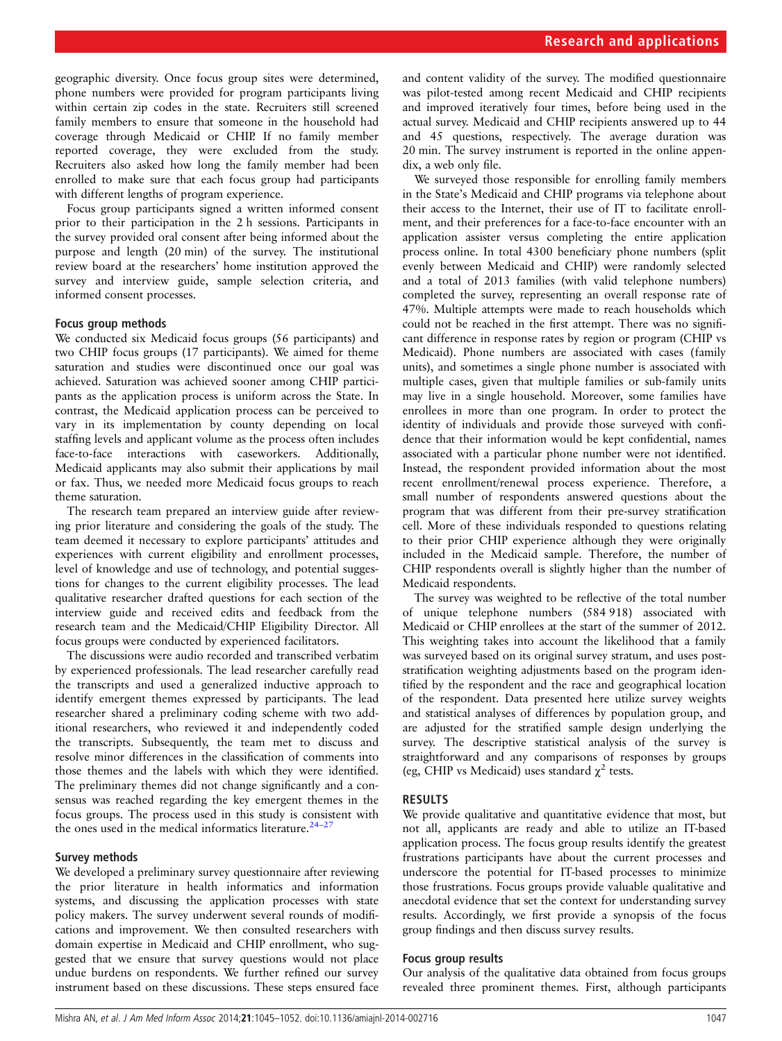geographic diversity. Once focus group sites were determined, phone numbers were provided for program participants living within certain zip codes in the state. Recruiters still screened family members to ensure that someone in the household had coverage through Medicaid or CHIP. If no family member reported coverage, they were excluded from the study. Recruiters also asked how long the family member had been enrolled to make sure that each focus group had participants with different lengths of program experience.

Focus group participants signed a written informed consent prior to their participation in the 2 h sessions. Participants in the survey provided oral consent after being informed about the purpose and length (20 min) of the survey. The institutional review board at the researchers' home institution approved the survey and interview guide, sample selection criteria, and informed consent processes.

## Focus group methods

We conducted six Medicaid focus groups (56 participants) and two CHIP focus groups (17 participants). We aimed for theme saturation and studies were discontinued once our goal was achieved. Saturation was achieved sooner among CHIP participants as the application process is uniform across the State. In contrast, the Medicaid application process can be perceived to vary in its implementation by county depending on local staffing levels and applicant volume as the process often includes face-to-face interactions with caseworkers. Additionally, Medicaid applicants may also submit their applications by mail or fax. Thus, we needed more Medicaid focus groups to reach theme saturation.

The research team prepared an interview guide after reviewing prior literature and considering the goals of the study. The team deemed it necessary to explore participants' attitudes and experiences with current eligibility and enrollment processes, level of knowledge and use of technology, and potential suggestions for changes to the current eligibility processes. The lead qualitative researcher drafted questions for each section of the interview guide and received edits and feedback from the research team and the Medicaid/CHIP Eligibility Director. All focus groups were conducted by experienced facilitators.

The discussions were audio recorded and transcribed verbatim by experienced professionals. The lead researcher carefully read the transcripts and used a generalized inductive approach to identify emergent themes expressed by participants. The lead researcher shared a preliminary coding scheme with two additional researchers, who reviewed it and independently coded the transcripts. Subsequently, the team met to discuss and resolve minor differences in the classification of comments into those themes and the labels with which they were identified. The preliminary themes did not change significantly and a consensus was reached regarding the key emergent themes in the focus groups. The process used in this study is consistent with the ones used in the medical informatics literature.<sup>[24](#page-7-0)–27</sup>

## Survey methods

We developed a preliminary survey questionnaire after reviewing the prior literature in health informatics and information systems, and discussing the application processes with state policy makers. The survey underwent several rounds of modifications and improvement. We then consulted researchers with domain expertise in Medicaid and CHIP enrollment, who suggested that we ensure that survey questions would not place undue burdens on respondents. We further refined our survey instrument based on these discussions. These steps ensured face

and content validity of the survey. The modified questionnaire was pilot-tested among recent Medicaid and CHIP recipients and improved iteratively four times, before being used in the actual survey. Medicaid and CHIP recipients answered up to 44 and 45 questions, respectively. The average duration was 20 min. The survey instrument is reported in the online appendix, a web only file.

We surveyed those responsible for enrolling family members in the State's Medicaid and CHIP programs via telephone about their access to the Internet, their use of IT to facilitate enrollment, and their preferences for a face-to-face encounter with an application assister versus completing the entire application process online. In total 4300 beneficiary phone numbers (split evenly between Medicaid and CHIP) were randomly selected and a total of 2013 families (with valid telephone numbers) completed the survey, representing an overall response rate of 47%. Multiple attempts were made to reach households which could not be reached in the first attempt. There was no significant difference in response rates by region or program (CHIP vs Medicaid). Phone numbers are associated with cases (family units), and sometimes a single phone number is associated with multiple cases, given that multiple families or sub-family units may live in a single household. Moreover, some families have enrollees in more than one program. In order to protect the identity of individuals and provide those surveyed with confidence that their information would be kept confidential, names associated with a particular phone number were not identified. Instead, the respondent provided information about the most recent enrollment/renewal process experience. Therefore, a small number of respondents answered questions about the program that was different from their pre-survey stratification cell. More of these individuals responded to questions relating to their prior CHIP experience although they were originally included in the Medicaid sample. Therefore, the number of CHIP respondents overall is slightly higher than the number of Medicaid respondents.

The survey was weighted to be reflective of the total number of unique telephone numbers (584 918) associated with Medicaid or CHIP enrollees at the start of the summer of 2012. This weighting takes into account the likelihood that a family was surveyed based on its original survey stratum, and uses poststratification weighting adjustments based on the program identified by the respondent and the race and geographical location of the respondent. Data presented here utilize survey weights and statistical analyses of differences by population group, and are adjusted for the stratified sample design underlying the survey. The descriptive statistical analysis of the survey is straightforward and any comparisons of responses by groups (eg, CHIP vs Medicaid) uses standard  $\chi^2$  tests.

## RESULTS

We provide qualitative and quantitative evidence that most, but not all, applicants are ready and able to utilize an IT-based application process. The focus group results identify the greatest frustrations participants have about the current processes and underscore the potential for IT-based processes to minimize those frustrations. Focus groups provide valuable qualitative and anecdotal evidence that set the context for understanding survey results. Accordingly, we first provide a synopsis of the focus group findings and then discuss survey results.

## Focus group results

Our analysis of the qualitative data obtained from focus groups revealed three prominent themes. First, although participants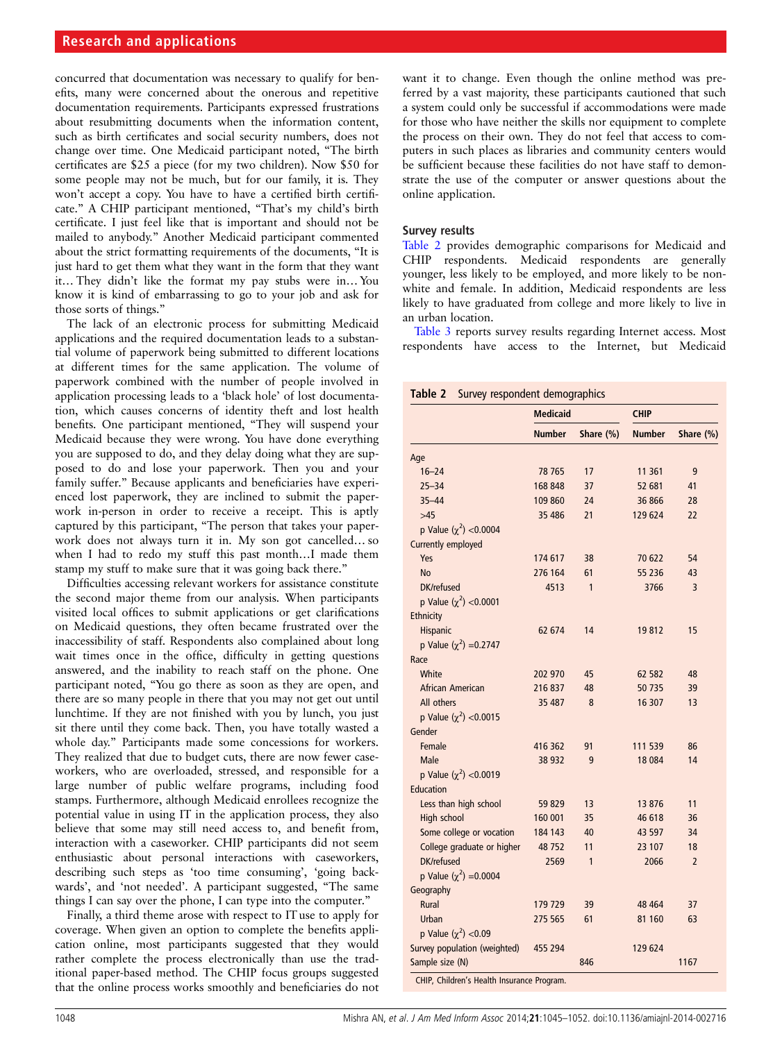concurred that documentation was necessary to qualify for benefits, many were concerned about the onerous and repetitive documentation requirements. Participants expressed frustrations about resubmitting documents when the information content, such as birth certificates and social security numbers, does not change over time. One Medicaid participant noted, "The birth certificates are \$25 a piece (for my two children). Now \$50 for some people may not be much, but for our family, it is. They won't accept a copy. You have to have a certified birth certificate." A CHIP participant mentioned, "That's my child's birth certificate. I just feel like that is important and should not be mailed to anybody." Another Medicaid participant commented about the strict formatting requirements of the documents, "It is just hard to get them what they want in the form that they want it… They didn't like the format my pay stubs were in… You know it is kind of embarrassing to go to your job and ask for those sorts of things."

The lack of an electronic process for submitting Medicaid applications and the required documentation leads to a substantial volume of paperwork being submitted to different locations at different times for the same application. The volume of paperwork combined with the number of people involved in application processing leads to a 'black hole' of lost documentation, which causes concerns of identity theft and lost health benefits. One participant mentioned, "They will suspend your Medicaid because they were wrong. You have done everything you are supposed to do, and they delay doing what they are supposed to do and lose your paperwork. Then you and your family suffer." Because applicants and beneficiaries have experienced lost paperwork, they are inclined to submit the paperwork in-person in order to receive a receipt. This is aptly captured by this participant, "The person that takes your paperwork does not always turn it in. My son got cancelled… so when I had to redo my stuff this past month…I made them stamp my stuff to make sure that it was going back there."

Difficulties accessing relevant workers for assistance constitute the second major theme from our analysis. When participants visited local offices to submit applications or get clarifications on Medicaid questions, they often became frustrated over the inaccessibility of staff. Respondents also complained about long wait times once in the office, difficulty in getting questions answered, and the inability to reach staff on the phone. One participant noted, "You go there as soon as they are open, and there are so many people in there that you may not get out until lunchtime. If they are not finished with you by lunch, you just sit there until they come back. Then, you have totally wasted a whole day." Participants made some concessions for workers. They realized that due to budget cuts, there are now fewer caseworkers, who are overloaded, stressed, and responsible for a large number of public welfare programs, including food stamps. Furthermore, although Medicaid enrollees recognize the potential value in using IT in the application process, they also believe that some may still need access to, and benefit from, interaction with a caseworker. CHIP participants did not seem enthusiastic about personal interactions with caseworkers, describing such steps as 'too time consuming', 'going backwards', and 'not needed'. A participant suggested, "The same things I can say over the phone, I can type into the computer."

Finally, a third theme arose with respect to IT use to apply for coverage. When given an option to complete the benefits application online, most participants suggested that they would rather complete the process electronically than use the traditional paper-based method. The CHIP focus groups suggested that the online process works smoothly and beneficiaries do not

want it to change. Even though the online method was preferred by a vast majority, these participants cautioned that such a system could only be successful if accommodations were made for those who have neither the skills nor equipment to complete the process on their own. They do not feel that access to computers in such places as libraries and community centers would be sufficient because these facilities do not have staff to demonstrate the use of the computer or answer questions about the online application.

#### Survey results

Table 2 provides demographic comparisons for Medicaid and CHIP respondents. Medicaid respondents are generally younger, less likely to be employed, and more likely to be nonwhite and female. In addition, Medicaid respondents are less likely to have graduated from college and more likely to live in an urban location.

[Table 3](#page-4-0) reports survey results regarding Internet access. Most respondents have access to the Internet, but Medicaid

#### Table 2 Survey respondent demographics

|                              | <b>Medicaid</b> |           | <b>CHIP</b>   |                |  |
|------------------------------|-----------------|-----------|---------------|----------------|--|
|                              | <b>Number</b>   | Share (%) | <b>Number</b> | Share (%)      |  |
| Age                          |                 |           |               |                |  |
| $16 - 24$                    | 78 765          | 17        | 11 361        | 9              |  |
| $25 - 34$                    | 168 848         | 37        | 52 681        | 41             |  |
| $35 - 44$                    | 109 860         | 24        | 36 866        | 28             |  |
| $>45$                        | 35 486          | 21        | 129 624       | 22             |  |
| p Value $(\chi^2)$ <0.0004   |                 |           |               |                |  |
| <b>Currently employed</b>    |                 |           |               |                |  |
| Yes                          | 174 617         | 38        | 70 622        | 54             |  |
| <b>No</b>                    | 276 164         | 61        | 55 236        | 43             |  |
| DK/refused                   | 4513            | 1         | 3766          | 3              |  |
| p Value $(\chi^2)$ <0.0001   |                 |           |               |                |  |
| Ethnicity                    |                 |           |               |                |  |
| Hispanic                     | 62 674          | 14        | 19812         | 15             |  |
| p Value $(\chi^2) = 0.2747$  |                 |           |               |                |  |
| Race                         |                 |           |               |                |  |
| White                        | 202 970         | 45        | 62 582        | 48             |  |
| African American             | 216 837         | 48        | 50 735        | 39             |  |
| All others                   | 35 487          | 8         | 16 307        | 13             |  |
| p Value $(\chi^2)$ <0.0015   |                 |           |               |                |  |
| Gender                       |                 |           |               |                |  |
| Female                       | 416 362         | 91        | 111 539       | 86             |  |
| Male                         | 38 932          | 9         | 18 0 84       | 14             |  |
| p Value $(x^2)$ < 0.0019     |                 |           |               |                |  |
| Education                    |                 |           |               |                |  |
| Less than high school        | 59 829          | 13        | 13 876        | 11             |  |
| <b>High school</b>           | 160 001         | 35        | 46 618        | 36             |  |
| Some college or vocation     | 184 143         | 40        | 43 597        | 34             |  |
| College graduate or higher   | 48 752          | 11        | 23 107        | 18             |  |
| DK/refused                   | 2569            | 1         | 2066          | $\overline{2}$ |  |
| p Value $(\chi^2) = 0.0004$  |                 |           |               |                |  |
| Geography                    |                 |           |               |                |  |
| Rural                        | 179 729         | 39        | 48 4 64       | 37             |  |
| Urban                        | 275 565         | 61        | 81 160        | 63             |  |
| p Value $(x^2)$ < 0.09       |                 |           |               |                |  |
| Survey population (weighted) | 455 294         |           | 129 624       |                |  |
| Sample size (N)              |                 | 846       |               | 1167           |  |

CHIP, Children's Health Insurance Program.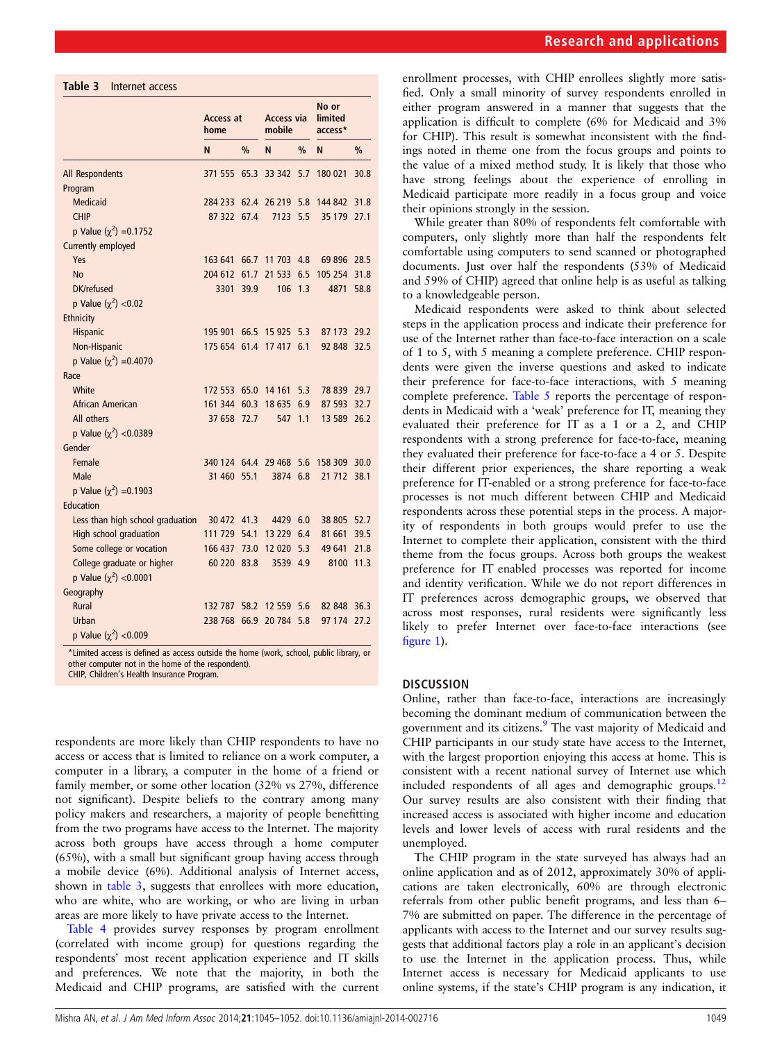<span id="page-4-0"></span>Table 3 Internet access

| Access at<br>home |      | <b>Access via</b><br>mobile |               | No or<br>limited<br>access*                                                                                           |                            |
|-------------------|------|-----------------------------|---------------|-----------------------------------------------------------------------------------------------------------------------|----------------------------|
| N                 | $\%$ | N                           | $\frac{0}{0}$ | N                                                                                                                     | $\%$                       |
| 371 555           | 65.3 | 33 342                      | 5.7           | 180 021                                                                                                               | 30.8                       |
|                   |      |                             |               |                                                                                                                       |                            |
| 284 233           | 62.4 | 26 219                      | 5.8           | 144 842                                                                                                               | 31.8                       |
| 87 322            | 67.4 | 7123                        | 5.5           | 35 1 7 9                                                                                                              | 27.1                       |
|                   |      |                             |               |                                                                                                                       |                            |
|                   |      |                             |               |                                                                                                                       |                            |
| 163 641           | 66.7 |                             | 4.8           | 69 896                                                                                                                | 28.5                       |
| 204 612           | 61.7 | 21 533                      | 6.5           | 105 254                                                                                                               | 31.8                       |
| 3301              | 39.9 | 106                         | 1.3           | 4871                                                                                                                  | 58.8                       |
|                   |      |                             |               |                                                                                                                       |                            |
|                   |      |                             |               |                                                                                                                       |                            |
| 195 901           |      |                             |               | 87 173                                                                                                                | 29.2                       |
| 175 654           | 61.4 |                             | 6.1           | 92 848                                                                                                                | 32.5                       |
|                   |      |                             |               |                                                                                                                       |                            |
|                   |      |                             |               |                                                                                                                       |                            |
|                   |      |                             | 5.3           | 78 839                                                                                                                | 29.7                       |
|                   |      |                             | 6.9           | 87 593                                                                                                                | 32.7                       |
| 37 658            | 72.7 | 547                         | 1.1           | 13 589                                                                                                                | 26.2                       |
|                   |      |                             |               |                                                                                                                       |                            |
|                   |      |                             |               |                                                                                                                       |                            |
| 340 124           | 64.4 | 29 4 68                     | 5.6           | 158 309                                                                                                               | 30.0                       |
| 31 460            | 55.1 |                             |               | 21 7 12                                                                                                               | 38.1                       |
|                   |      |                             |               |                                                                                                                       |                            |
|                   |      |                             |               |                                                                                                                       |                            |
| 30 472            | 41.3 |                             |               | 38 805                                                                                                                | 52.7                       |
| 111 729           | 54.1 |                             | 6.4           | 81 661                                                                                                                | 39.5                       |
| 166 437           | 73.0 | 12 0 20                     | 5.3           | 49 641                                                                                                                | 21.8                       |
| 60 220            | 83.8 | 3539                        | 4.9           | 8100                                                                                                                  | 11.3                       |
|                   |      |                             |               |                                                                                                                       |                            |
|                   |      |                             |               |                                                                                                                       |                            |
| 132 787           | 58.2 |                             |               |                                                                                                                       |                            |
| 238 768           | 66.9 | 20 784                      | 5.8           |                                                                                                                       |                            |
|                   |      |                             |               |                                                                                                                       |                            |
|                   |      | 161 344 60.3                |               | 11 703<br>66.5 15 925 5.3<br>17417<br>172 553 65.0 14 161<br>18 635<br>3874 6.8<br>4429 6.0<br>13 2 2 9<br>12 559 5.6 | 82 848 36.3<br>97 174 27.2 |

\*Limited access is defined as access outside the home (work, school, public library, or other computer not in the home of the respondent). CHIP, Children's Health Insurance Program.

respondents are more likely than CHIP respondents to have no access or access that is limited to reliance on a work computer, a computer in a library, a computer in the home of a friend or family member, or some other location (32% vs 27%, difference not significant). Despite beliefs to the contrary among many policy makers and researchers, a majority of people benefitting from the two programs have access to the Internet. The majority across both groups have access through a home computer (65%), with a small but significant group having access through a mobile device (6%). Additional analysis of Internet access, shown in table 3, suggests that enrollees with more education, who are white, who are working, or who are living in urban areas are more likely to have private access to the Internet.

[Table 4](#page-5-0) provides survey responses by program enrollment (correlated with income group) for questions regarding the respondents' most recent application experience and IT skills and preferences. We note that the majority, in both the Medicaid and CHIP programs, are satisfied with the current

enrollment processes, with CHIP enrollees slightly more satisfied. Only a small minority of survey respondents enrolled in either program answered in a manner that suggests that the application is difficult to complete (6% for Medicaid and 3% for CHIP). This result is somewhat inconsistent with the findings noted in theme one from the focus groups and points to the value of a mixed method study. It is likely that those who have strong feelings about the experience of enrolling in Medicaid participate more readily in a focus group and voice their opinions strongly in the session.

While greater than 80% of respondents felt comfortable with computers, only slightly more than half the respondents felt comfortable using computers to send scanned or photographed documents. Just over half the respondents (53% of Medicaid and 59% of CHIP) agreed that online help is as useful as talking to a knowledgeable person.

Medicaid respondents were asked to think about selected steps in the application process and indicate their preference for use of the Internet rather than face-to-face interaction on a scale of 1 to 5, with 5 meaning a complete preference. CHIP respondents were given the inverse questions and asked to indicate their preference for face-to-face interactions, with 5 meaning complete preference. [Table 5](#page-5-0) reports the percentage of respondents in Medicaid with a 'weak' preference for IT, meaning they evaluated their preference for IT as a 1 or a 2, and CHIP respondents with a strong preference for face-to-face, meaning they evaluated their preference for face-to-face a 4 or 5. Despite their different prior experiences, the share reporting a weak preference for IT-enabled or a strong preference for face-to-face processes is not much different between CHIP and Medicaid respondents across these potential steps in the process. A majority of respondents in both groups would prefer to use the Internet to complete their application, consistent with the third theme from the focus groups. Across both groups the weakest preference for IT enabled processes was reported for income and identity verification. While we do not report differences in IT preferences across demographic groups, we observed that across most responses, rural residents were significantly less likely to prefer Internet over face-to-face interactions (see fi[gure 1\)](#page-5-0).

#### **DISCUSSION**

Online, rather than face-to-face, interactions are increasingly becoming the dominant medium of communication between the government and its citizens.<sup>9</sup> The vast majority of Medicaid and CHIP participants in our study state have access to the Internet, with the largest proportion enjoying this access at home. This is consistent with a recent national survey of Internet use which included respondents of all ages and demographic groups.<sup>[12](#page-7-0)</sup> Our survey results are also consistent with their finding that increased access is associated with higher income and education levels and lower levels of access with rural residents and the unemployed.

The CHIP program in the state surveyed has always had an online application and as of 2012, approximately 30% of applications are taken electronically, 60% are through electronic referrals from other public benefit programs, and less than 6– 7% are submitted on paper. The difference in the percentage of applicants with access to the Internet and our survey results suggests that additional factors play a role in an applicant's decision to use the Internet in the application process. Thus, while Internet access is necessary for Medicaid applicants to use online systems, if the state's CHIP program is any indication, it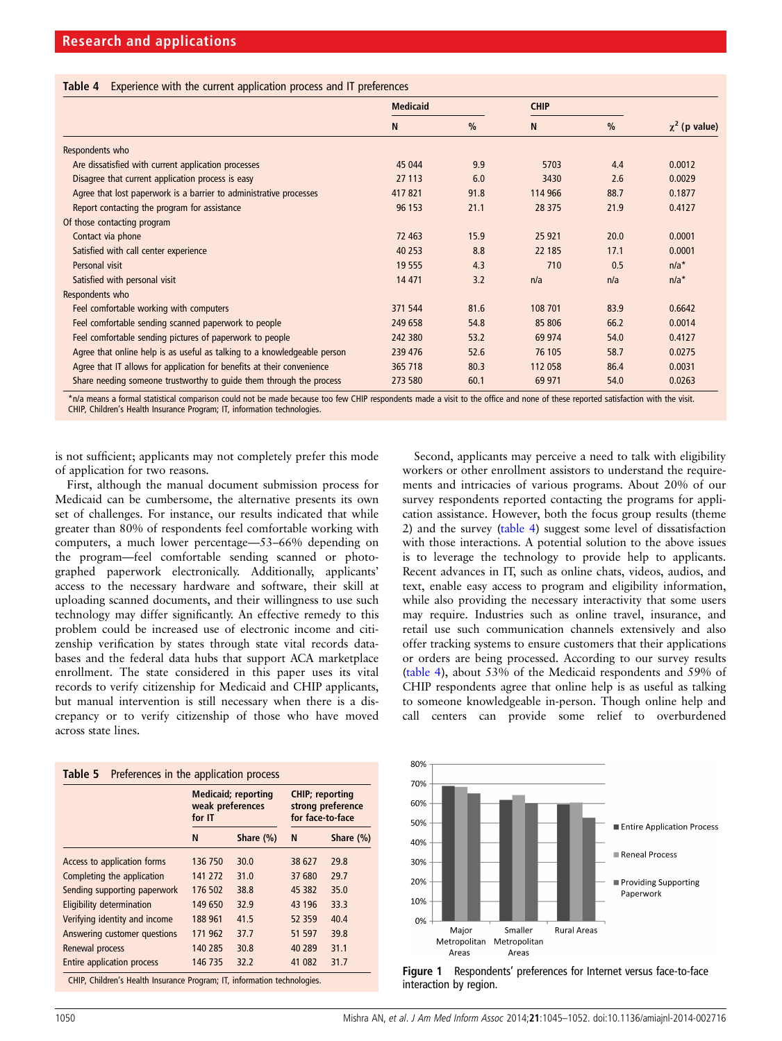#### <span id="page-5-0"></span>Table 4 Experience with the current application process and IT preferences

|                                                                          | <b>Medicaid</b> |               | <b>CHIP</b> |               |                    |
|--------------------------------------------------------------------------|-----------------|---------------|-------------|---------------|--------------------|
|                                                                          | N               | $\frac{0}{0}$ | N           | $\frac{0}{0}$ | $\chi^2$ (p value) |
| Respondents who                                                          |                 |               |             |               |                    |
| Are dissatisfied with current application processes                      | 45 044          | 9.9           | 5703        | 4.4           | 0.0012             |
| Disagree that current application process is easy                        | 27 113          | 6.0           | 3430        | 2.6           | 0.0029             |
| Agree that lost paperwork is a barrier to administrative processes       | 417821          | 91.8          | 114 966     | 88.7          | 0.1877             |
| Report contacting the program for assistance                             | 96 153          | 21.1          | 28 3 7 5    | 21.9          | 0.4127             |
| Of those contacting program                                              |                 |               |             |               |                    |
| Contact via phone                                                        | 72 463          | 15.9          | 25 9 21     | 20.0          | 0.0001             |
| Satisfied with call center experience                                    | 40 253          | 8.8           | 22 185      | 17.1          | 0.0001             |
| Personal visit                                                           | 19 5 5 5        | 4.3           | 710         | 0.5           | $n/a^*$            |
| Satisfied with personal visit                                            | 14 4 71         | 3.2           | n/a         | n/a           | $n/a^*$            |
| Respondents who                                                          |                 |               |             |               |                    |
| Feel comfortable working with computers                                  | 371 544         | 81.6          | 108 701     | 83.9          | 0.6642             |
| Feel comfortable sending scanned paperwork to people                     | 249 658         | 54.8          | 85 806      | 66.2          | 0.0014             |
| Feel comfortable sending pictures of paperwork to people                 | 242 380         | 53.2          | 69 974      | 54.0          | 0.4127             |
| Agree that online help is as useful as talking to a knowledgeable person | 239 476         | 52.6          | 76 105      | 58.7          | 0.0275             |
| Agree that IT allows for application for benefits at their convenience   | 365 718         | 80.3          | 112 058     | 86.4          | 0.0031             |
| Share needing someone trustworthy to quide them through the process      | 273 580         | 60.1          | 69 971      | 54.0          | 0.0263             |

\*n/a means a formal statistical comparison could not be made because too few CHIP respondents made a visit to the office and none of these reported satisfaction with the visit. CHIP, Children's Health Insurance Program; IT, information technologies.

is not sufficient; applicants may not completely prefer this mode of application for two reasons.

First, although the manual document submission process for Medicaid can be cumbersome, the alternative presents its own set of challenges. For instance, our results indicated that while greater than 80% of respondents feel comfortable working with computers, a much lower percentage—53–66% depending on the program—feel comfortable sending scanned or photographed paperwork electronically. Additionally, applicants' access to the necessary hardware and software, their skill at uploading scanned documents, and their willingness to use such technology may differ significantly. An effective remedy to this problem could be increased use of electronic income and citizenship verification by states through state vital records databases and the federal data hubs that support ACA marketplace enrollment. The state considered in this paper uses its vital records to verify citizenship for Medicaid and CHIP applicants, but manual intervention is still necessary when there is a discrepancy or to verify citizenship of those who have moved across state lines.

| <b>Table 5</b> Preferences in the application process | weak preferences<br>for IT | <b>Medicaid</b> ; reporting | <b>CHIP</b> ; reporting<br>strong preference<br>for face-to-face |           |  |
|-------------------------------------------------------|----------------------------|-----------------------------|------------------------------------------------------------------|-----------|--|
|                                                       | N                          | Share (%)                   | N                                                                | Share (%) |  |
| Access to application forms                           | 136 750                    | 30.0                        | 38 627                                                           | 29.8      |  |
| Completing the application                            | 141 272                    | 31.0                        | 37 680                                                           | 29.7      |  |
| Sending supporting paperwork                          | 176 502                    | 38.8                        | 45 382                                                           | 35.0      |  |
| Eligibility determination                             | 149 650                    | 32.9                        | 43 196                                                           | 33.3      |  |
| Verifying identity and income                         | 188 961                    | 41.5                        | 52 359                                                           | 40.4      |  |
| Answering customer questions                          | 171 962                    | 37.7                        | 51 597                                                           | 39.8      |  |
| Renewal process                                       | 140 285                    | 30.8                        | 40 289                                                           | 31.1      |  |
| Entire application process                            | 146 735                    | 32.2                        | 41 082                                                           | 31.7      |  |

CHIP, Children's Health Insurance Program; IT, information technologies.

Second, applicants may perceive a need to talk with eligibility workers or other enrollment assistors to understand the requirements and intricacies of various programs. About 20% of our survey respondents reported contacting the programs for application assistance. However, both the focus group results (theme 2) and the survey (table 4) suggest some level of dissatisfaction with those interactions. A potential solution to the above issues is to leverage the technology to provide help to applicants. Recent advances in IT, such as online chats, videos, audios, and text, enable easy access to program and eligibility information, while also providing the necessary interactivity that some users may require. Industries such as online travel, insurance, and retail use such communication channels extensively and also offer tracking systems to ensure customers that their applications or orders are being processed. According to our survey results (table 4), about 53% of the Medicaid respondents and 59% of CHIP respondents agree that online help is as useful as talking to someone knowledgeable in-person. Though online help and call centers can provide some relief to overburdened



Figure 1 Respondents' preferences for Internet versus face-to-face interaction by region.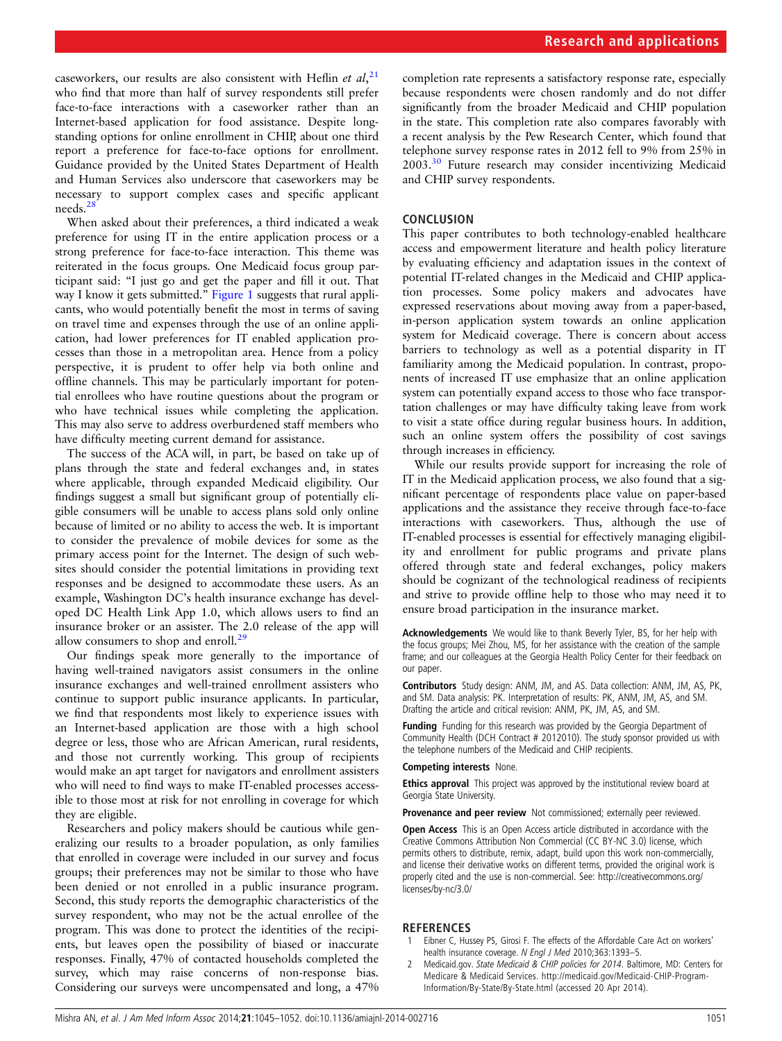<span id="page-6-0"></span>caseworkers, our results are also consistent with Heflin et  $al$ ,  $21$ who find that more than half of survey respondents still prefer face-to-face interactions with a caseworker rather than an Internet-based application for food assistance. Despite longstanding options for online enrollment in CHIP, about one third report a preference for face-to-face options for enrollment. Guidance provided by the United States Department of Health and Human Services also underscore that caseworkers may be necessary to support complex cases and specific applicant needs.[28](#page-7-0)

When asked about their preferences, a third indicated a weak preference for using IT in the entire application process or a strong preference for face-to-face interaction. This theme was reiterated in the focus groups. One Medicaid focus group participant said: "I just go and get the paper and fill it out. That way I know it gets submitted." [Figure 1](#page-5-0) suggests that rural applicants, who would potentially benefit the most in terms of saving on travel time and expenses through the use of an online application, had lower preferences for IT enabled application processes than those in a metropolitan area. Hence from a policy perspective, it is prudent to offer help via both online and offline channels. This may be particularly important for potential enrollees who have routine questions about the program or who have technical issues while completing the application. This may also serve to address overburdened staff members who have difficulty meeting current demand for assistance.

The success of the ACA will, in part, be based on take up of plans through the state and federal exchanges and, in states where applicable, through expanded Medicaid eligibility. Our findings suggest a small but significant group of potentially eligible consumers will be unable to access plans sold only online because of limited or no ability to access the web. It is important to consider the prevalence of mobile devices for some as the primary access point for the Internet. The design of such websites should consider the potential limitations in providing text responses and be designed to accommodate these users. As an example, Washington DC's health insurance exchange has developed DC Health Link App 1.0, which allows users to find an insurance broker or an assister. The 2.0 release of the app will allow consumers to shop and enroll.<sup>[29](#page-7-0)</sup>

Our findings speak more generally to the importance of having well-trained navigators assist consumers in the online insurance exchanges and well-trained enrollment assisters who continue to support public insurance applicants. In particular, we find that respondents most likely to experience issues with an Internet-based application are those with a high school degree or less, those who are African American, rural residents, and those not currently working. This group of recipients would make an apt target for navigators and enrollment assisters who will need to find ways to make IT-enabled processes accessible to those most at risk for not enrolling in coverage for which they are eligible.

Researchers and policy makers should be cautious while generalizing our results to a broader population, as only families that enrolled in coverage were included in our survey and focus groups; their preferences may not be similar to those who have been denied or not enrolled in a public insurance program. Second, this study reports the demographic characteristics of the survey respondent, who may not be the actual enrollee of the program. This was done to protect the identities of the recipients, but leaves open the possibility of biased or inaccurate responses. Finally, 47% of contacted households completed the survey, which may raise concerns of non-response bias. Considering our surveys were uncompensated and long, a 47%

completion rate represents a satisfactory response rate, especially because respondents were chosen randomly and do not differ significantly from the broader Medicaid and CHIP population in the state. This completion rate also compares favorably with a recent analysis by the Pew Research Center, which found that telephone survey response rates in 2012 fell to 9% from 25% in 2003.[30](#page-7-0) Future research may consider incentivizing Medicaid and CHIP survey respondents.

## **CONCLUSION**

This paper contributes to both technology-enabled healthcare access and empowerment literature and health policy literature by evaluating efficiency and adaptation issues in the context of potential IT-related changes in the Medicaid and CHIP application processes. Some policy makers and advocates have expressed reservations about moving away from a paper-based, in-person application system towards an online application system for Medicaid coverage. There is concern about access barriers to technology as well as a potential disparity in IT familiarity among the Medicaid population. In contrast, proponents of increased IT use emphasize that an online application system can potentially expand access to those who face transportation challenges or may have difficulty taking leave from work to visit a state office during regular business hours. In addition, such an online system offers the possibility of cost savings through increases in efficiency.

While our results provide support for increasing the role of IT in the Medicaid application process, we also found that a significant percentage of respondents place value on paper-based applications and the assistance they receive through face-to-face interactions with caseworkers. Thus, although the use of IT-enabled processes is essential for effectively managing eligibility and enrollment for public programs and private plans offered through state and federal exchanges, policy makers should be cognizant of the technological readiness of recipients and strive to provide offline help to those who may need it to ensure broad participation in the insurance market.

Acknowledgements We would like to thank Beverly Tyler, BS, for her help with the focus groups; Mei Zhou, MS, for her assistance with the creation of the sample frame; and our colleagues at the Georgia Health Policy Center for their feedback on our paper.

Contributors Study design: ANM, JM, and AS. Data collection: ANM, JM, AS, PK, and SM. Data analysis: PK. Interpretation of results: PK, ANM, JM, AS, and SM. Drafting the article and critical revision: ANM, PK, JM, AS, and SM.

Funding Funding for this research was provided by the Georgia Department of Community Health (DCH Contract # 2012010). The study sponsor provided us with the telephone numbers of the Medicaid and CHIP recipients.

#### Competing interests None.

Ethics approval This project was approved by the institutional review board at Georgia State University.

Provenance and peer review Not commissioned; externally peer reviewed.

**Open Access** This is an Open Access article distributed in accordance with the Creative Commons Attribution Non Commercial (CC BY-NC 3.0) license, which permits others to distribute, remix, adapt, build upon this work non-commercially, and license their derivative works on different terms, provided the original work is properly cited and the use is non-commercial. See: http://creativecommons.org/ licenses/by-nc/3.0/

#### REFERENCES

- 1 Eibner C, Hussey PS, Girosi F. The effects of the Affordable Care Act on workers' health insurance coverage. N Engl J Med 2010;363:1393-5.
- Medicaid.gov. State Medicaid & CHIP policies for 2014. Baltimore, MD: Centers for Medicare & Medicaid Services. [http://medicaid.gov/Medicaid-CHIP-Program-](http://medicaid.gov/Medicaid-CHIP-Program-Information/By-State/By-State.html)[Information/By-State/By-State.html](http://medicaid.gov/Medicaid-CHIP-Program-Information/By-State/By-State.html) (accessed 20 Apr 2014).